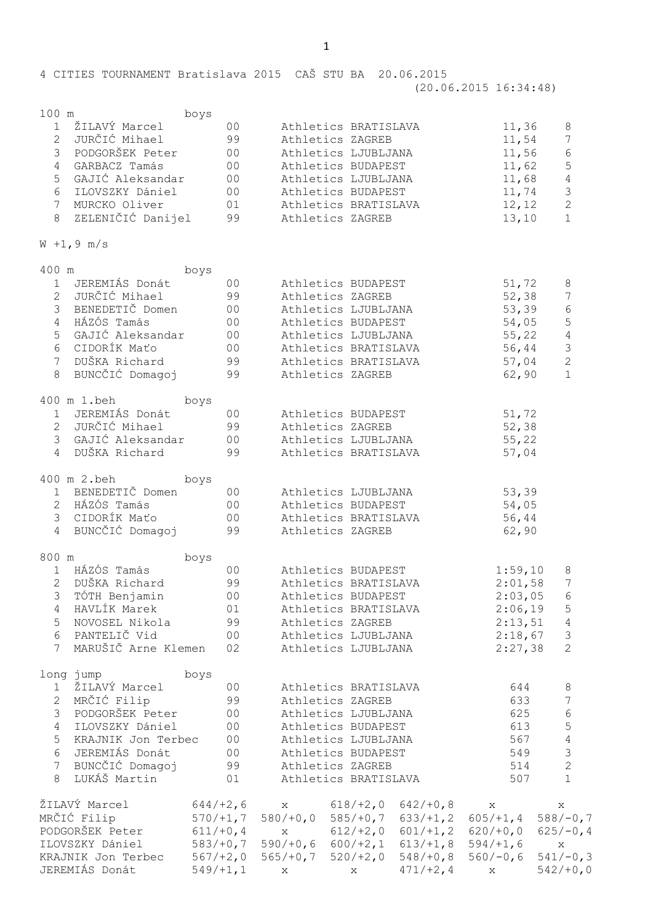(20.06.2015 16:34:48)

100 m boys

|   | ŽILAVÝ Marcel      | 0 <sup>0</sup> | Athletics BRATISLAVA | 11,36 |               |
|---|--------------------|----------------|----------------------|-------|---------------|
|   | JURČIĆ Mihael      | 99             | Athletics ZAGREB     | 11,54 |               |
|   | PODGORŠEK Peter    | 0 <sub>0</sub> | Athletics LJUBLJANA  | 11,56 | 6             |
|   | GARBACZ Tamás      | 00             | Athletics BUDAPEST   | 11,62 | 5             |
|   | 5 GAJIĆ Aleksandar | 0 <sup>0</sup> | Athletics LJUBLJANA  | 11,68 | 4             |
| 6 | ILOVSZKY Dániel    | 00             | Athletics BUDAPEST   | 11,74 | $\mathcal{E}$ |
|   | MURCKO Oliver      | 01             | Athletics BRATISLAVA | 12,12 | 2             |
| 8 | ZELENIČIĆ Danijel  | 99             | Athletics ZAGREB     | 13,10 |               |
|   |                    |                |                      |       |               |

$$
W + 1, 9 m/s
$$

| 400 m        |                     | boys           |             |                         |             |             |                 |
|--------------|---------------------|----------------|-------------|-------------------------|-------------|-------------|-----------------|
| 1            | JEREMIÁS Donát      | 0 <sup>0</sup> |             | Athletics BUDAPEST      |             | 51, 72      | $\,8\,$         |
|              | 2 JURČIĆ Mihael     | 99             |             | Athletics ZAGREB        |             | 52,38       | $\overline{7}$  |
|              | 3 BENEDETIČ Domen   | 0 <sub>0</sub> |             | Athletics LJUBLJANA     |             | 53,39       | $\epsilon$      |
|              | 4 HÁZÓS Tamás       | 00             |             | Athletics BUDAPEST      |             | 54,05       | $\overline{5}$  |
|              | 5 GAJIĆ Aleksandar  | 00             |             | Athletics LJUBLJANA     |             | 55,22       | $\sqrt{4}$      |
|              | 6 CIDORÍK Maťo      | 00             |             | Athletics BRATISLAVA    |             | 56,44       | $\mathsf 3$     |
|              | 7 DUŠKA Richard     | 99             |             | Athletics BRATISLAVA    |             | 57,04       | $\mathbf{2}$    |
| 8            | BUNCČIĆ Domagoj     | 99             |             | Athletics ZAGREB        |             | 62,90       | $\mathbf{1}$    |
|              | 400 m 1.beh         | boys           |             |                         |             |             |                 |
| $\mathbf{1}$ | JEREMIÁS Donát      | 0 <sup>0</sup> |             | Athletics BUDAPEST      |             | 51,72       |                 |
|              | 2 JURČIĆ Mihael     | 99             |             | Athletics ZAGREB        |             | 52, 38      |                 |
|              | 3 GAJIĆ Aleksandar  | 00             |             | Athletics LJUBLJANA     |             | 55,22       |                 |
|              | 4 DUŠKA Richard     | 99             |             | Athletics BRATISLAVA    |             | 57,04       |                 |
|              | 400 m 2.beh         | boys           |             |                         |             |             |                 |
|              | 1 BENEDETIČ Domen   | 0 <sup>0</sup> |             | Athletics LJUBLJANA     |             | 53, 39      |                 |
|              | 2 HÁZÓS Tamás       | 00             |             | Athletics BUDAPEST      |             | 54,05       |                 |
|              | 3 CIDORÍK Maťo      | 0 <sub>0</sub> |             | Athletics BRATISLAVA    |             | 56,44       |                 |
|              | 4 BUNCČIĆ Domagoj   | 99             |             | Athletics ZAGREB        |             | 62,90       |                 |
| 800 m        |                     | boys           |             |                         |             |             |                 |
|              | 1 HÁZÓS Tamás       | 0 <sub>0</sub> |             | Athletics BUDAPEST      |             | 1:59,10     | 8               |
|              | 2 DUŠKA Richard     | 99             |             | Athletics BRATISLAVA    |             | 2:01,58     | 7               |
|              | 3 TÓTH Benjamin     | 0 <sub>0</sub> |             | Athletics BUDAPEST      |             | 2:03,05     | 6               |
|              | 4 HAVLÍK Marek      | 01             |             | Athletics BRATISLAVA    |             | 2:06,19     | $\mathsf S$     |
|              | 5 NOVOSEL Nikola    | 99             |             | Athletics ZAGREB        |             | 2:13,51     | $\sqrt{4}$      |
|              | 6 PANTELIČ Vid      | 00             |             | Athletics LJUBLJANA     |             | 2:18,67     | $\mathcal{S}$   |
| 7            | MARUŠIČ Arne Klemen | 02             |             | Athletics LJUBLJANA     |             | 2:27,38     | $\overline{2}$  |
|              | long jump           | boys           |             |                         |             |             |                 |
|              | 1 ŽILAVÝ Marcel     | 00             |             | Athletics BRATISLAVA    |             | 644         | $\,8\,$         |
|              | 2 MRČIĆ Filip       | 99             |             | Athletics ZAGREB        |             | 633         | $7\phantom{.0}$ |
|              | 3 PODGORŠEK Peter   | 00             |             | Athletics LJUBLJANA     |             | 625         | $\epsilon$      |
|              | 4 ILOVSZKY Dániel   | 0 <sub>0</sub> |             | Athletics BUDAPEST      |             | 613         | $\mathsf S$     |
| 5            | KRAJNIK Jon Terbec  | 0 <sub>0</sub> |             | Athletics LJUBLJANA     |             | 567         | $\overline{4}$  |
|              | 6 JEREMIÁS Donát    | 00             |             | Athletics BUDAPEST      |             | 549         | $\mathfrak{S}$  |
| 7            | BUNCČIĆ Domagoj     | 99             |             | Athletics ZAGREB        |             | 514         | $\mathbf{2}$    |
| 8            | LUKÁŠ Martin        | 01             |             | Athletics BRATISLAVA    |             | 507         | $\mathbf{1}$    |
|              | ŽILAVÝ Marcel       | $644/+2,6$     | $\mathbf X$ | $618/+2,0$              | $642/+0, 8$ | X           | X               |
|              | MRČIĆ Filip         | $570/+1,7$     |             | $580/+0, 0 585/+0, 7$   | $633/+1,2$  | $605/+1,4$  | $588/-0,7$      |
|              | PODGORŠEK Peter     | $611/+0, 4$    | X           | $612/+2,0$              | $601/+1,2$  | $620/+0,0$  | $625/-0, 4$     |
|              | ILOVSZKY Dániel     | $583/+0,7$     |             | $590/+0, 6 600/+2, 1$   | $613/+1,8$  | $594/+1,6$  | X               |
|              | KRAJNIK Jon Terbec  | $567/+2,0$     |             | $565/+0, 7$ $520/+2, 0$ | $548/+0, 8$ | $560/-0,6$  | $541/-0, 3$     |
|              | JEREMIÁS Donát      | $549/+1,1$     | X           | X                       | $471/+2, 4$ | $\mathbf x$ | $542/+0,0$      |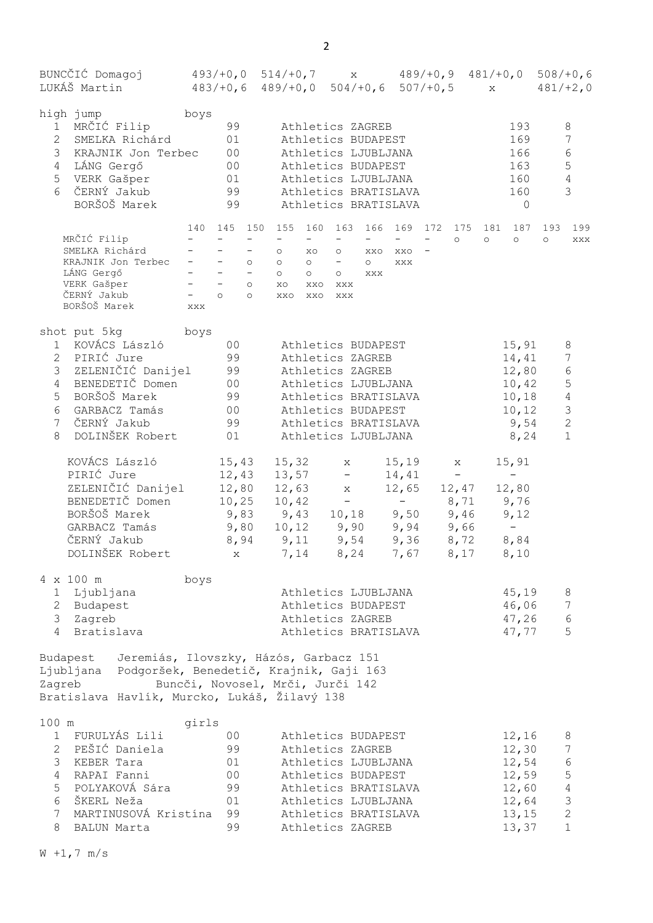| BUNCCIĆ Domagoj 493/+0,0 514/+0,7 x 489/+0,9 481/+0,0 508/+0,6<br>LUKÁŠ Martin                                                                                                                                  |                                                                                                                                                                                                                                                                      | $483/+0,6$ $489/+0,0$ $504/+0,6$ $507/+0,5$ x $481/+2,0$                                                                                                                                                                              |                                                                                                                                                                                     |                                                                                           |                                                                                  |                                                                                                          |
|-----------------------------------------------------------------------------------------------------------------------------------------------------------------------------------------------------------------|----------------------------------------------------------------------------------------------------------------------------------------------------------------------------------------------------------------------------------------------------------------------|---------------------------------------------------------------------------------------------------------------------------------------------------------------------------------------------------------------------------------------|-------------------------------------------------------------------------------------------------------------------------------------------------------------------------------------|-------------------------------------------------------------------------------------------|----------------------------------------------------------------------------------|----------------------------------------------------------------------------------------------------------|
| high jump<br>1 MRČIĆ Filip<br>$\overline{2}$<br>SMELKA Richárd<br>3 KRAJNIK Jon Terbec<br>4 LÁNG Gergő<br>5 VERK Gašper 01<br>6 ČERNÝ Jakub<br>BORŠOŠ Marek                                                     | boys<br>99<br>01<br>00<br>00<br>99<br>99                                                                                                                                                                                                                             |                                                                                                                                                                                                                                       | Athletics ZAGREB<br>Athletics BUDAPEST<br>Athletics LJUBLJANA<br>Athletics BUDAPEST<br>Athletics LJUBLJANA<br>Athletics BRATISLAVA<br>Athletics BRATISLAVA                          |                                                                                           | 193<br>169<br>166<br>163<br>160<br>160<br>$\overline{0}$                         | 8<br>$7\phantom{.0}$<br>$\sqrt{6}$<br>$5\phantom{.0}$<br>$\sqrt{4}$<br>3                                 |
| MRČIĆ Filip<br>SMELKA Richárd<br>SMELIKA KLORICI<br>KRAJNIK Jon Terbec   –   –   –   o<br>LÁNG Gergő     –   –   –   –<br>VERK Gašper     –   –   o<br>ČERNÝ Jakub<br>BORŠOŠ Marek                              | 140 145 150<br>$\frac{1}{2} \left( \frac{1}{2} \right) \left( \frac{1}{2} \right) \left( \frac{1}{2} \right) \left( \frac{1}{2} \right)$<br>$\sim$<br>$\frac{1}{2}$ .<br>$\frac{1}{2} \left( \frac{1}{2} \right)$<br>$\equiv$<br>$\overline{\phantom{a}}$ 0 0<br>XXX | 155 160 163<br>$\frac{1}{2}$ and $\frac{1}{2}$<br>$\sim$ 100 $\mu$<br>$\circ$<br>XO<br>$\circ$<br>$\circ$<br>$\circ$<br>$\circ$<br>XO<br>XXO XXX<br>XXO<br>XXO                                                                        | $\frac{1}{2}$ and $\frac{1}{2}$<br>$\frac{1}{2}$ and $\frac{1}{2}$<br>$\frac{1}{2}$ and $\frac{1}{2}$<br>$\circ$<br>XXO<br>XXO<br>$\frac{1}{\circ}$<br>$\circ$<br>XXX<br>XXX<br>XXX | $\frac{1}{2}$ and $\frac{1}{2}$<br>$\circ$                                                | 166 169 172 175 181 187 193 199<br>$\circ$<br>$\circ$                            | $\circ$<br>XXX                                                                                           |
| shot put 5kg boys<br>1 KOVÁCS László<br>2 PIRIĆ Jure<br>3 ZELENIČIĆ Danijel 99<br>4 BENEDETIČ Domen<br>5 BORŠOŠ Marek<br>6 GARBACZ Tamás<br>7 ČERNÝ Jakub<br>DOLINŠEK Robert<br>8                               | 00<br>99<br>00<br>99<br>00<br>99<br>01                                                                                                                                                                                                                               |                                                                                                                                                                                                                                       | Athletics BUDAPEST<br>Athletics ZAGREB<br>Athletics ZAGREB<br>Athletics LJUBLJANA<br>Athletics BRATISLAVA<br>Athletics BUDAPEST<br>Athletics BRATISLAVA<br>Athletics LJUBLJANA      |                                                                                           | 15, 91<br>14,41<br>12,80<br>10,42<br>10, 18<br>10, 12<br>9,54<br>8,24            | 8<br>$7\phantom{.0}$<br>$\epsilon$<br>5<br>$\sqrt{4}$<br>$\mathcal{S}$<br>$\overline{2}$<br>$\mathbf{1}$ |
| KOVÁCS László<br>PIRIĆ Jure<br>ZELENIČIĆ Danijel<br>BENEDETIČ Domen<br>BORŠOŠ Marek<br>GARBACZ Tamás<br>ČERNÝ Jakub<br>DOLINŠEK Robert                                                                          |                                                                                                                                                                                                                                                                      | $15, 43$ $15, 32$ x<br>$12, 43$ $13, 57$ -<br>$12,80$ $12,63$ x<br>$10, 25$ $10, 42$ -<br>$9,83$ $9,43$ $10,18$ $9,50$ $9,46$ $9,12$<br>$9,80$ $10,12$ $9,90$ $9,94$ $9,66$<br>8,94 9,11 9,54 9,36 8,72<br>x 7,14 8,24 7,67 8,17 8,10 | 15, 19<br>14,41                                                                                                                                                                     | $\mathbf X$<br>$\frac{1}{2}$ and $\frac{1}{2}$<br>$12,65$ $12,47$ $12,80$<br>$-8,71$ 9,76 | 15, 91<br>$\frac{1}{2}$ and $\frac{1}{2}$<br>$\alpha \rightarrow \alpha$<br>8,84 |                                                                                                          |
| 4 x 100 m<br>1 Ljubljana<br>2 Budapest<br>3 Zagreb<br>$4 \quad$<br>Bratislava                                                                                                                                   | boys                                                                                                                                                                                                                                                                 | Athletics ZAGREB                                                                                                                                                                                                                      | Athletics LJUBLJANA<br>Athletics BUDAPEST<br>Athletics BRATISLAVA                                                                                                                   |                                                                                           | 45,19<br>46,06<br>47,26<br>47,77                                                 | $\,8\,$<br>7<br>$\epsilon$<br>5                                                                          |
| Budapest Jeremiás, Ilovszky, Házós, Garbacz 151<br>Ljubljana Podgoršek, Benedetič, Krajnik, Gaji 163<br>Zagreb<br>Bratislava Havlík, Murcko, Lukáš, Žilavý 138                                                  |                                                                                                                                                                                                                                                                      | Buncči, Novosel, Mrči, Jurči 142                                                                                                                                                                                                      |                                                                                                                                                                                     |                                                                                           |                                                                                  |                                                                                                          |
| 100 m<br>1 FURULYÁS Lili<br>2 PEŠIĆ Daniela<br>3<br>KEBER Tara<br>$\overline{4}$<br>RAPAI Fanni<br>5<br>POLYAKOVÁ Sára<br>6<br>ŠKERL Neža<br>$7\phantom{.0}$<br>MARTINUSOVÁ Kristína<br><b>BALUN Marta</b><br>8 | girls<br>0 <sup>0</sup><br>99<br>01<br>00<br>99<br>01<br>99<br>99                                                                                                                                                                                                    | Athletics ZAGREB<br>Athletics ZAGREB                                                                                                                                                                                                  | Athletics BUDAPEST<br>Athletics LJUBLJANA<br>Athletics BUDAPEST<br>Athletics BRATISLAVA<br>Athletics LJUBLJANA<br>Athletics BRATISLAVA                                              |                                                                                           | 12,16<br>12, 30<br>12,54<br>12,59<br>12,60<br>12,64<br>13, 15<br>13, 37          | 8<br>7<br>$\epsilon$<br>5<br>$\sqrt{4}$<br>$\mathfrak{Z}$<br>$\mathbf{2}$<br>$\mathbf{1}$                |

2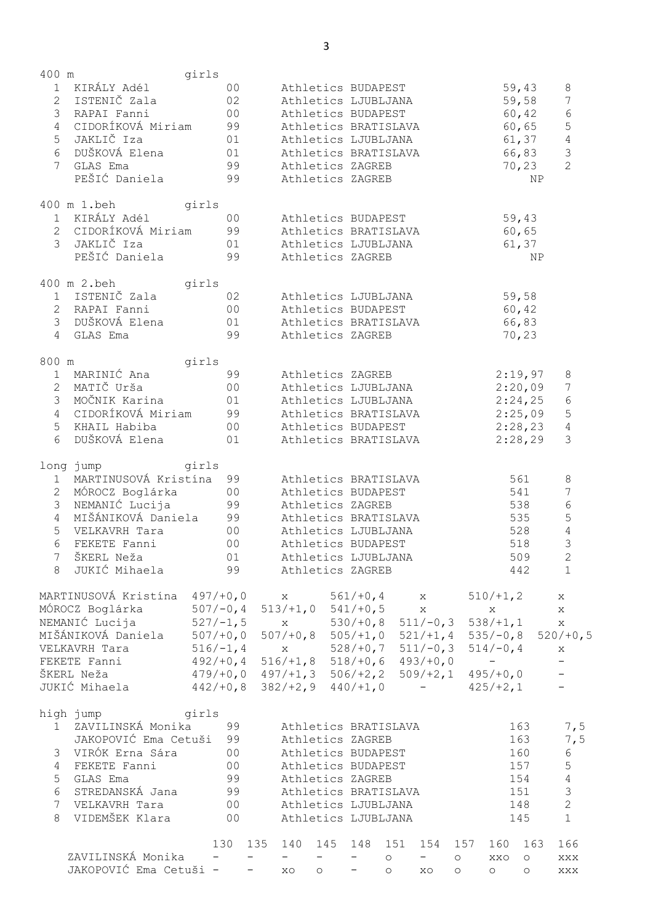| 400 m           |                                                                                                                | girls                               |                                 |                                 |          |                         |                |                                                   |                |                                 |                |                      |  |
|-----------------|----------------------------------------------------------------------------------------------------------------|-------------------------------------|---------------------------------|---------------------------------|----------|-------------------------|----------------|---------------------------------------------------|----------------|---------------------------------|----------------|----------------------|--|
|                 | 1 KIRÁLY Adél                                                                                                  |                                     | 00                              |                                 |          | Athletics BUDAPEST      |                |                                                   |                |                                 | 59,43          | $\,8\,$              |  |
|                 | 2 ISTENIČ Zala                                                                                                 |                                     | 02                              |                                 |          | Athletics LJUBLJANA     |                |                                                   |                |                                 | 59,58          | $\boldsymbol{7}$     |  |
|                 | 3 RAPAI Fanni                                                                                                  | 00                                  |                                 |                                 |          | Athletics BUDAPEST      |                |                                                   |                |                                 | 60,42          | $\epsilon$           |  |
|                 | 4 CIDORÍKOVÁ Miriam 99                                                                                         |                                     |                                 |                                 |          | Athletics BRATISLAVA    |                |                                                   |                |                                 | 60,65          | $\overline{5}$       |  |
|                 | 5 JAKLIČ Iza                                                                                                   | 01                                  |                                 |                                 |          | Athletics LJUBLJANA     |                |                                                   |                |                                 | 61, 37         | $\sqrt{4}$           |  |
|                 | 6 DUŠKOVÁ Elena                                                                                                | 01                                  |                                 |                                 |          | Athletics BRATISLAVA    |                |                                                   |                |                                 | 66,83          | $\mathcal{S}$        |  |
| 7 <sup>7</sup>  | GLAS Ema                                                                                                       | 99                                  |                                 |                                 |          | Athletics ZAGREB        |                |                                                   |                |                                 | 70, 23         | $\overline{2}$       |  |
|                 | PEŠIĆ Daniela                                                                                                  |                                     | 99                              |                                 |          | Athletics ZAGREB        |                |                                                   |                |                                 | NP.            |                      |  |
|                 |                                                                                                                |                                     |                                 |                                 |          |                         |                |                                                   |                |                                 |                |                      |  |
|                 | 400 m 1.beh girls                                                                                              |                                     |                                 |                                 |          |                         |                |                                                   |                |                                 |                |                      |  |
|                 | 1 KIRÁLY Adél                                                                                                  | 00                                  |                                 |                                 |          | Athletics BUDAPEST      |                |                                                   |                |                                 | 59,43          |                      |  |
|                 | 2 CIDORÍKOVÁ Miriam 99 Athletics BRATISLAVA                                                                    |                                     |                                 |                                 |          |                         |                |                                                   |                |                                 | 60,65          |                      |  |
|                 | 3 JAKLIČ Iza (01 ) Athletics LJUBLJANA                                                                         |                                     |                                 |                                 |          |                         |                |                                                   |                |                                 | 61, 37         |                      |  |
|                 | PEŠIĆ Daniela (1998)                                                                                           |                                     |                                 |                                 |          | Athletics ZAGREB        |                |                                                   |                |                                 | NP             |                      |  |
|                 | 400 m 2.beh girls                                                                                              |                                     |                                 |                                 |          |                         |                |                                                   |                |                                 |                |                      |  |
|                 | 1 ISTENIČ Zala                                                                                                 | 02                                  |                                 |                                 |          | Athletics LJUBLJANA     |                |                                                   |                |                                 | 59,58          |                      |  |
|                 | 2 RAPAI Fanni                                                                                                  | 00 Athletics BUDAPEST               |                                 |                                 |          |                         |                |                                                   |                |                                 | 60,42          |                      |  |
|                 | 3 DUŠKOVÁ Elena                                                                                                | 01                                  |                                 |                                 |          | Athletics BRATISLAVA    |                |                                                   |                |                                 | 66,83          |                      |  |
|                 | 4 GLAS Ema                                                                                                     | 99                                  |                                 |                                 |          | Athletics ZAGREB        |                |                                                   |                |                                 | 70,23          |                      |  |
|                 |                                                                                                                |                                     |                                 |                                 |          |                         |                |                                                   |                |                                 |                |                      |  |
| 800 m           | and the set of the set of the set of the set of the set of the set of the set of the set of the set of the set |                                     |                                 |                                 |          |                         |                |                                                   |                |                                 |                |                      |  |
|                 | 1 MARINIĆ Ana                                                                                                  | 99 Athletics ZAGREB                 |                                 |                                 |          |                         |                |                                                   |                | 2:19,97                         |                | 8                    |  |
|                 | 2 MATIČ Urša                                                                                                   | 00 Athletics LJUBLJANA              |                                 |                                 |          |                         |                |                                                   |                | 2:20,09                         |                | 7                    |  |
|                 |                                                                                                                |                                     |                                 |                                 |          | Athletics LJUBLJANA     |                |                                                   |                | 2:24,25                         |                | 6                    |  |
|                 | 4 CIDORÍKOVÁ Miriam 99                                                                                         |                                     |                                 |                                 |          | Athletics BRATISLAVA    |                |                                                   |                | $2:25,09$ 5                     |                |                      |  |
|                 | 5 KHAIL Habiba                                                                                                 | 00 Athletics BUDAPEST               |                                 |                                 |          |                         |                |                                                   |                | 2:28,23                         |                | $\overline{4}$       |  |
|                 | 6 DUŠKOVÁ Elena (101                                                                                           |                                     |                                 |                                 |          | Athletics BRATISLAVA    |                |                                                   |                |                                 | 2:28,29        | $\mathcal{S}$        |  |
|                 |                                                                                                                |                                     |                                 |                                 |          |                         |                |                                                   |                |                                 |                |                      |  |
|                 | long jump qirls                                                                                                |                                     |                                 |                                 |          |                         |                |                                                   |                |                                 |                |                      |  |
|                 | 1 MARTINUSOVÁ Kristína 99                                                                                      |                                     |                                 |                                 |          | Athletics BRATISLAVA    |                |                                                   |                | 561                             |                | $\,8\,$              |  |
|                 | 2 MÓROCZ Boglárka 00                                                                                           |                                     |                                 |                                 |          | Athletics BUDAPEST      |                |                                                   |                | 541                             |                | $7\phantom{.0}$      |  |
| $\mathcal{S}$   | NEMANIĆ Lucija 99                                                                                              |                                     |                                 |                                 |          | Athletics ZAGREB        |                |                                                   |                | 538                             |                | $6\,$                |  |
|                 | 4 MIŠÁNIKOVÁ Daniela 99                                                                                        |                                     |                                 |                                 |          | Athletics BRATISLAVA    |                |                                                   |                | 535                             |                | $\mathsf S$          |  |
| 5               | VELKAVRH Tara                                                                                                  | 00                                  |                                 |                                 |          | Athletics LJUBLJANA     |                |                                                   |                | 528                             |                | $\overline{4}$       |  |
| 6               | FEKETE Fanni                                                                                                   |                                     | 0 <sub>0</sub>                  |                                 |          | Athletics BUDAPEST      |                |                                                   |                |                                 | 518            | $\mathfrak{Z}$       |  |
| 7               | ŠKERL Neža                                                                                                     |                                     | 01                              |                                 |          | Athletics LJUBLJANA     |                |                                                   |                |                                 | 509            | $\overline{c}$       |  |
| 8               | JUKIĆ Mihaela                                                                                                  |                                     | 99                              |                                 |          | Athletics ZAGREB        |                |                                                   |                |                                 | 442            | 1                    |  |
|                 | MARTINUSOVÁ Kristína                                                                                           | $497/+0,0$                          |                                 | X                               |          | $561/+0,4$              | $\mathbf{X}$   |                                                   |                | $510/+1,2$                      |                | X                    |  |
|                 | MÓROCZ Boglárka                                                                                                | $507/-0,4$                          |                                 |                                 |          | $513/+1, 0 541/+0, 5$   |                | X                                                 |                | $\mathsf{X}% _{\mathsf{A}}$     |                | X                    |  |
|                 | NEMANIĆ Lucija                                                                                                 | $527/-1,5$                          |                                 |                                 |          | $x = 530/+0, 8$         |                | $511/-0,3$                                        |                | $538/+1, 1$                     |                | X                    |  |
|                 | MIŠÁNIKOVÁ Daniela                                                                                             | $507/+0,0$                          |                                 |                                 |          | $507/+0, 8$ 505/+1,0    |                | $521/+1,4$                                        |                |                                 |                | $535/-0, 8$ 520/+0,5 |  |
|                 | VELKAVRH Tara                                                                                                  | $516/-1,4$                          |                                 |                                 |          | $x = 528/+0,7$          |                | $511/-0,3$                                        |                | $514/-0, 4$                     |                | X                    |  |
|                 | FEKETE Fanni                                                                                                   | $492/+0, 4$                         |                                 |                                 |          | $516/+1, 8$ $518/+0, 6$ |                | $493/+0,0$                                        |                | $\frac{1}{2}$ and $\frac{1}{2}$ |                |                      |  |
|                 | ŠKERL Neža                                                                                                     | $479/+0, 0$ $497/+1, 3$ $506/+2, 2$ |                                 |                                 |          |                         |                | $509/+2,1$                                        |                | $495/+0,0$                      |                |                      |  |
|                 | JUKIĆ Mihaela                                                                                                  | $442/+0,8$                          |                                 |                                 |          | $382/+2, 9$ 440/+1,0    |                | $\frac{1}{2}$ and $\frac{1}{2}$ and $\frac{1}{2}$ |                | $425/ + 2, 1$                   |                |                      |  |
|                 |                                                                                                                |                                     |                                 |                                 |          |                         |                |                                                   |                |                                 |                |                      |  |
|                 | high jump                                                                                                      | girls                               |                                 |                                 |          |                         |                |                                                   |                |                                 |                |                      |  |
| 1               | ZAVILINSKÁ Monika                                                                                              |                                     | 99                              |                                 |          | Athletics BRATISLAVA    |                |                                                   |                |                                 | 163            | 7,5                  |  |
|                 | JAKOPOVIĆ Ema Cetuši                                                                                           |                                     | 99                              |                                 |          | Athletics ZAGREB        |                |                                                   |                |                                 | 163            | 7,5                  |  |
|                 | 3 VIRÓK Erna Sára                                                                                              |                                     | 0 <sub>0</sub>                  |                                 |          | Athletics BUDAPEST      |                |                                                   |                |                                 | 160            | 6                    |  |
| $\overline{4}$  | FEKETE Fanni                                                                                                   |                                     | 0 <sub>0</sub>                  |                                 |          | Athletics BUDAPEST      |                |                                                   |                |                                 | 157            | 5                    |  |
| 5               | GLAS Ema                                                                                                       |                                     | 99                              |                                 |          | Athletics ZAGREB        |                |                                                   |                |                                 | 154            | $\overline{4}$       |  |
| 6               | STREDANSKÁ Jana                                                                                                |                                     | 99                              |                                 |          | Athletics BRATISLAVA    |                |                                                   |                |                                 | 151            | $\mathsf 3$          |  |
| $7\overline{ }$ | VELKAVRH Tara                                                                                                  |                                     | 0 <sub>0</sub>                  |                                 |          | Athletics LJUBLJANA     |                |                                                   |                |                                 | 148            | $\mathbf{2}$         |  |
| 8               | VIDEMŠEK Klara                                                                                                 |                                     | 0 <sub>0</sub>                  |                                 |          | Athletics LJUBLJANA     |                |                                                   |                |                                 | 145            | $\mathbf{1}$         |  |
|                 |                                                                                                                |                                     |                                 |                                 |          |                         |                |                                                   |                |                                 |                |                      |  |
|                 | ZAVILINSKÁ Monika                                                                                              | 130                                 | 135<br>$\overline{\phantom{a}}$ | 140<br>$\overline{\phantom{a}}$ | 145<br>- | 148<br>-                | 151<br>$\circ$ | 154<br>-                                          | 157<br>$\circ$ | 160<br>XXO                      | 163<br>$\circ$ | 166<br>XXX           |  |
|                 | JAKOPOVIĆ Ema Cetuši -                                                                                         |                                     | $-$                             | XO                              | $\circ$  |                         | $\circ$        | XO                                                | $\circ$        | $\circ$                         | $\circ$        | XXX                  |  |
|                 |                                                                                                                |                                     |                                 |                                 |          |                         |                |                                                   |                |                                 |                |                      |  |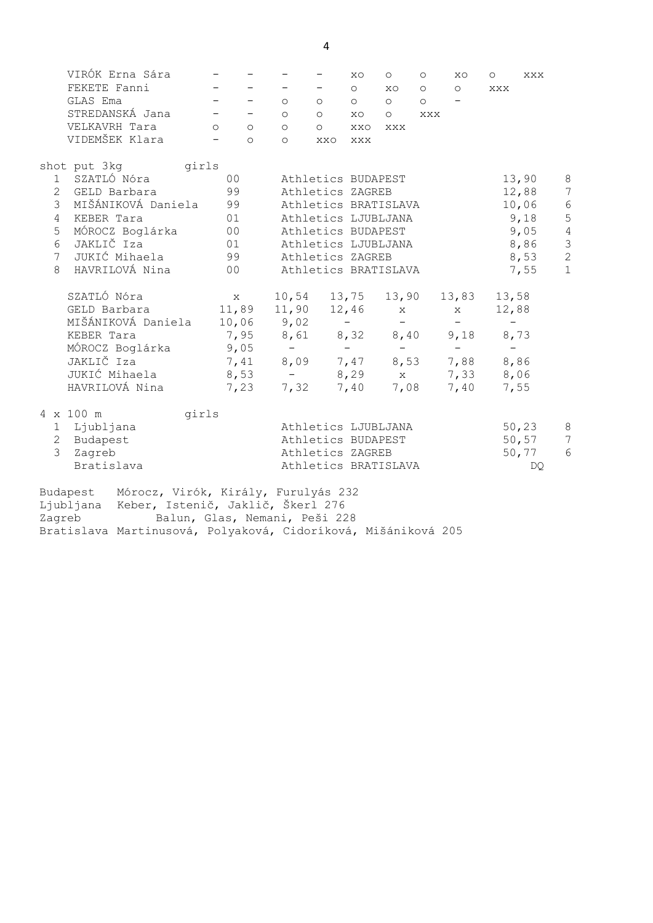|   | VIRÓK Erna Sára                              |                                                                                                                                                                                                                                                                                                                                                                                                                                                                            |                                                     |                                                                                                                      | XO  | $\circ$ $\circ$ | $\circ$ | XO                       | $\circ$ | XXX           |                                       |
|---|----------------------------------------------|----------------------------------------------------------------------------------------------------------------------------------------------------------------------------------------------------------------------------------------------------------------------------------------------------------------------------------------------------------------------------------------------------------------------------------------------------------------------------|-----------------------------------------------------|----------------------------------------------------------------------------------------------------------------------|-----|-----------------|---------|--------------------------|---------|---------------|---------------------------------------|
|   | FEKETE Fanni                                 | $\frac{1}{2} \left( \frac{1}{2} \right) \left( \frac{1}{2} \right) \left( \frac{1}{2} \right) \left( \frac{1}{2} \right) \left( \frac{1}{2} \right) \left( \frac{1}{2} \right) \left( \frac{1}{2} \right) \left( \frac{1}{2} \right) \left( \frac{1}{2} \right) \left( \frac{1}{2} \right) \left( \frac{1}{2} \right) \left( \frac{1}{2} \right) \left( \frac{1}{2} \right) \left( \frac{1}{2} \right) \left( \frac{1}{2} \right) \left( \frac{1}{2} \right) \left( \frac$ | $\frac{1}{2}$ and $\frac{1}{2}$                     |                                                                                                                      |     |                 |         | $-$ 0 x0 0 0 xxx         |         |               |                                       |
|   | GLAS Ema                                     | $\mathcal{L}(\mathcal{L}) = \mathcal{L}(\mathcal{L})$ , where $\mathcal{L}(\mathcal{L})$                                                                                                                                                                                                                                                                                                                                                                                   |                                                     | $\begin{array}{ccccccccccccccccc} \circ & \circ & \circ & \circ & \circ & \circ & \circ & \circ & \circ \end{array}$ |     |                 |         |                          |         |               |                                       |
|   |                                              |                                                                                                                                                                                                                                                                                                                                                                                                                                                                            |                                                     | 0 0 0 0 0 0 0 0                                                                                                      |     |                 |         |                          |         |               |                                       |
|   | VELKAVRH Tara                                | $\circ$ $\circ$                                                                                                                                                                                                                                                                                                                                                                                                                                                            |                                                     | $\circ$ $\circ$                                                                                                      | XXO | XXX             |         |                          |         |               |                                       |
|   | VIDEMŠEK Klara                               | $\overline{\phantom{a}}$ 0                                                                                                                                                                                                                                                                                                                                                                                                                                                 |                                                     | O XXO XXX                                                                                                            |     |                 |         |                          |         |               |                                       |
|   | shot put 3kg yirls                           |                                                                                                                                                                                                                                                                                                                                                                                                                                                                            |                                                     |                                                                                                                      |     |                 |         |                          |         |               |                                       |
|   | 1 SZATLÓ Nóra                                | 00                                                                                                                                                                                                                                                                                                                                                                                                                                                                         |                                                     | Athletics BUDAPEST                                                                                                   |     |                 |         |                          |         | 13,90         | 8                                     |
|   | 2 GELD Barbara 99                            |                                                                                                                                                                                                                                                                                                                                                                                                                                                                            |                                                     | Athletics ZAGREB                                                                                                     |     |                 |         |                          |         | 12,88         | $7\phantom{.0}$                       |
|   | 3 MIŠÁNIKOVÁ Daniela 99                      |                                                                                                                                                                                                                                                                                                                                                                                                                                                                            |                                                     | Athletics BRATISLAVA                                                                                                 |     |                 |         |                          |         | 10,06         | $\sqrt{6}$                            |
|   | 4 KEBER Tara                                 | 01                                                                                                                                                                                                                                                                                                                                                                                                                                                                         |                                                     | Athletics LJUBLJANA                                                                                                  |     |                 |         |                          |         | 9,18          | $\overline{5}$                        |
| 5 |                                              |                                                                                                                                                                                                                                                                                                                                                                                                                                                                            |                                                     | Athletics BUDAPEST                                                                                                   |     |                 |         |                          |         | 9,05          | $\overline{4}$                        |
|   |                                              |                                                                                                                                                                                                                                                                                                                                                                                                                                                                            |                                                     | Athletics LJUBLJANA                                                                                                  |     |                 |         |                          |         | 8,86          | $\begin{array}{c} 3 \\ 2 \end{array}$ |
|   | 7 JUKIĆ Mihaela                              |                                                                                                                                                                                                                                                                                                                                                                                                                                                                            | 99 Athletics ZAGREB                                 |                                                                                                                      |     |                 |         |                          |         | 8,53          |                                       |
|   | 8 HAVRILOVÁ Nina (100)                       |                                                                                                                                                                                                                                                                                                                                                                                                                                                                            |                                                     | Athletics BRATISLAVA                                                                                                 |     |                 |         |                          |         | 7,55          | $\mathbf{1}$                          |
|   | SZATLÓ Nóra                                  | $\mathbf X$                                                                                                                                                                                                                                                                                                                                                                                                                                                                |                                                     | 10,54 13,75 13,90 13,83 13,58                                                                                        |     |                 |         |                          |         |               |                                       |
|   | GELD Barbara 11,89 11,90 12,46 x             |                                                                                                                                                                                                                                                                                                                                                                                                                                                                            |                                                     |                                                                                                                      |     |                 |         | $\mathbf X$              | 12,88   |               |                                       |
|   | MIŠÁNIKOVÁ Daniela 10,06 9,02 - - -          |                                                                                                                                                                                                                                                                                                                                                                                                                                                                            |                                                     |                                                                                                                      |     |                 |         | <b>Contract Contract</b> |         | <b>Common</b> |                                       |
|   | KEBER Tara                                   |                                                                                                                                                                                                                                                                                                                                                                                                                                                                            | 7,95 8,61 8,32 8,40 9,18 8,73                       |                                                                                                                      |     |                 |         |                          |         |               |                                       |
|   | MÓROCZ Boglárka                              |                                                                                                                                                                                                                                                                                                                                                                                                                                                                            |                                                     |                                                                                                                      |     |                 |         |                          |         |               |                                       |
|   | JAKLIČ Iza                                   |                                                                                                                                                                                                                                                                                                                                                                                                                                                                            | $9,05$ - - - - - -<br>7,41 8,09 7,47 8,53 7,88 8,86 |                                                                                                                      |     |                 |         |                          |         |               |                                       |
|   | JUKIĆ Mihaela $8,53 - 8,29$ x 7,33 8,06      |                                                                                                                                                                                                                                                                                                                                                                                                                                                                            |                                                     |                                                                                                                      |     |                 |         |                          |         |               |                                       |
|   | HAVRILOVÁ Nina (1,23 7,32 7,40 7,08 7,40     |                                                                                                                                                                                                                                                                                                                                                                                                                                                                            |                                                     |                                                                                                                      |     |                 |         |                          |         | 7,55          |                                       |
|   | 4 x 100 m<br>girls                           |                                                                                                                                                                                                                                                                                                                                                                                                                                                                            |                                                     |                                                                                                                      |     |                 |         |                          |         |               |                                       |
|   | 1 Ljubljana                                  |                                                                                                                                                                                                                                                                                                                                                                                                                                                                            | Athletics LJUBLJANA                                 |                                                                                                                      |     |                 |         |                          |         | 50,23         | 8                                     |
|   | 2 Budapest                                   |                                                                                                                                                                                                                                                                                                                                                                                                                                                                            | Athletics BUDAPEST                                  |                                                                                                                      |     |                 |         |                          |         | 50, 57        | $7\phantom{.0}$                       |
|   | 3 Zagreb                                     |                                                                                                                                                                                                                                                                                                                                                                                                                                                                            |                                                     | Athletics ZAGREB                                                                                                     |     |                 |         |                          |         | 50,77         | 6                                     |
|   | Bratislava                                   |                                                                                                                                                                                                                                                                                                                                                                                                                                                                            |                                                     | Athletics BRATISLAVA                                                                                                 |     |                 |         |                          |         | DQ            |                                       |
|   | Budapest Mórocz, Virók, Király, Furulyás 232 |                                                                                                                                                                                                                                                                                                                                                                                                                                                                            |                                                     |                                                                                                                      |     |                 |         |                          |         |               |                                       |

Ljubljana Keber, Istenič, Jaklič, Škerl 276 Zagreb Balun, Glas, Nemani, Peši 228 Bratislava Martinusová, Polyaková, Cidoríková, Mišániková 205

4